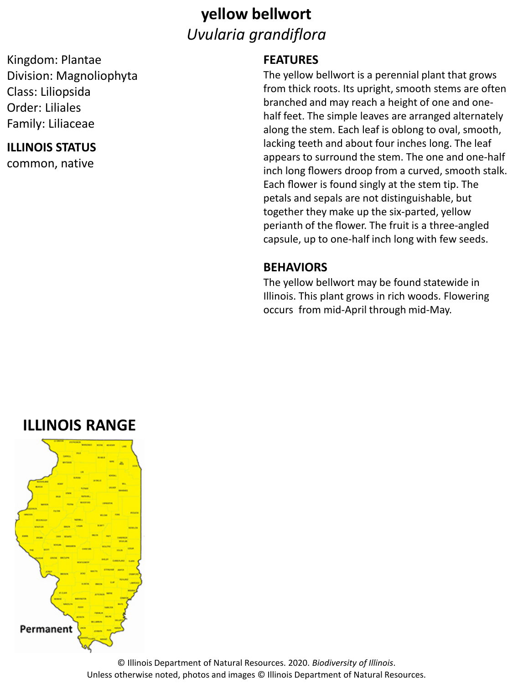### **yellow bellwort** *Uvularia grandiflora*

Kingdom: Plantae Division: Magnoliophyta Class: Liliopsida Order: Liliales Family: Liliaceae

#### **ILLINOIS STATUS**

common, native

#### **FEATURES**

The yellow bellwort is a perennial plant that grows from thick roots. Its upright, smooth stems are often branched and may reach a height of one and onehalf feet. The simple leaves are arranged alternately along the stem. Each leaf is oblong to oval, smooth, lacking teeth and about four inches long. The leaf appears to surround the stem. The one and one-half inch long flowers droop from a curved, smooth stalk. Each flower is found singly at the stem tip. The petals and sepals are not distinguishable, but together they make up the six-parted, yellow perianth of the flower. The fruit is a three-angled capsule, up to one-half inch long with few seeds.

#### **BEHAVIORS**

The yellow bellwort may be found statewide in Illinois. This plant grows in rich woods. Flowering occurs from mid-April through mid-May.

### **ILLINOIS RANGE**



© Illinois Department of Natural Resources. 2020. *Biodiversity of Illinois*. Unless otherwise noted, photos and images © Illinois Department of Natural Resources.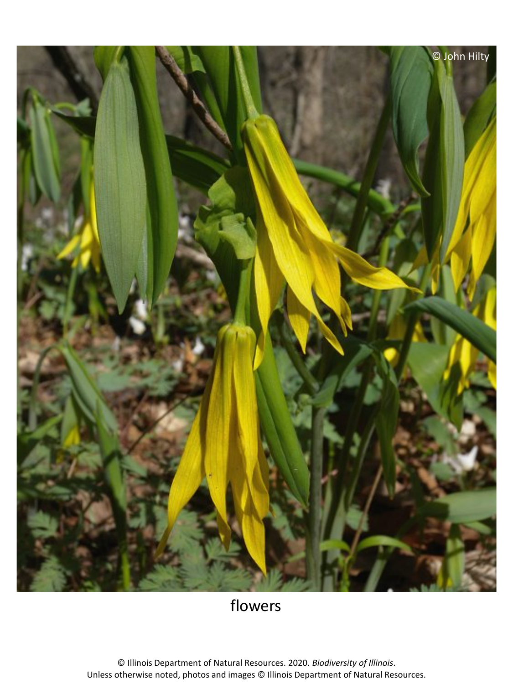

flowers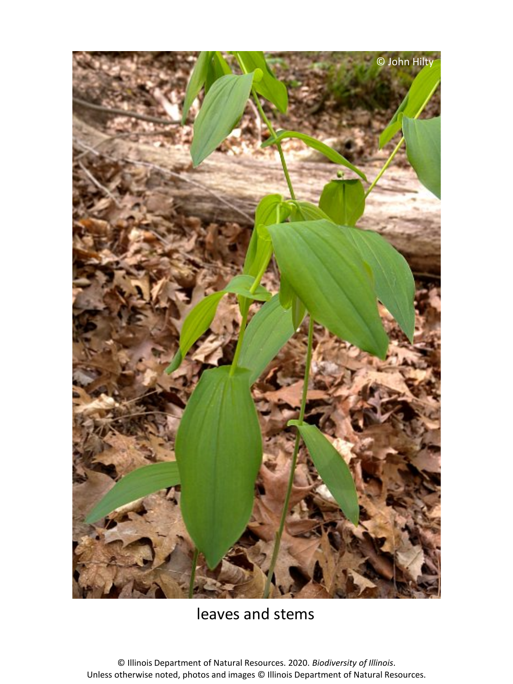

### leaves and stems

© Illinois Department of Natural Resources. 2020. *Biodiversity of Illinois*. Unless otherwise noted, photos and images © Illinois Department of Natural Resources.